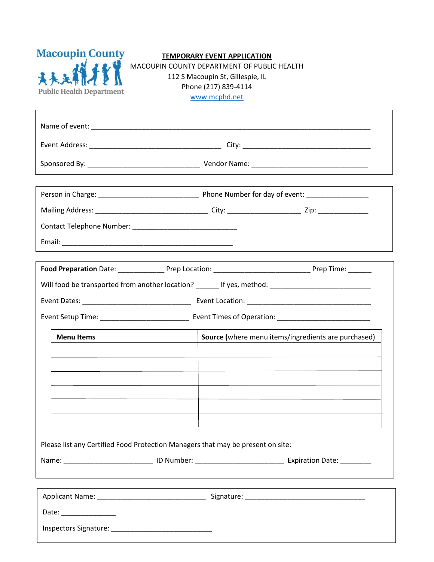

## **TEMPORARY EVENT APPLICATION**

MACOUPIN COUNTY DEPARTMENT OF PUBLIC HEALTH 112 S Macoupin St, Gillespie, IL Phone (217) 839-4114 [www.mcphd.net](http://www.mcphd.net/)

|                       | Food Preparation Date: ________________Prep Location: _________________________________Prep Time: _______ |                                                     |  |
|-----------------------|-----------------------------------------------------------------------------------------------------------|-----------------------------------------------------|--|
|                       | Will food be transported from another location? _______ If yes, method: ____________________________      |                                                     |  |
|                       |                                                                                                           |                                                     |  |
|                       |                                                                                                           |                                                     |  |
| <b>Menu Items</b>     |                                                                                                           | Source (where menu items/ingredients are purchased) |  |
|                       |                                                                                                           |                                                     |  |
|                       |                                                                                                           |                                                     |  |
|                       |                                                                                                           |                                                     |  |
|                       |                                                                                                           |                                                     |  |
|                       |                                                                                                           |                                                     |  |
|                       |                                                                                                           |                                                     |  |
|                       |                                                                                                           |                                                     |  |
|                       |                                                                                                           |                                                     |  |
|                       | Please list any Certified Food Protection Managers that may be present on site:                           |                                                     |  |
|                       |                                                                                                           |                                                     |  |
|                       | ,我们也不会有什么。""我们的人,我们也不会有什么?""我们的人,我们也不会有什么?""我们的人,我们也不会有什么?""我们的人,我们也不会有什么?""我们的人                          |                                                     |  |
|                       |                                                                                                           |                                                     |  |
| Date: _______________ |                                                                                                           |                                                     |  |